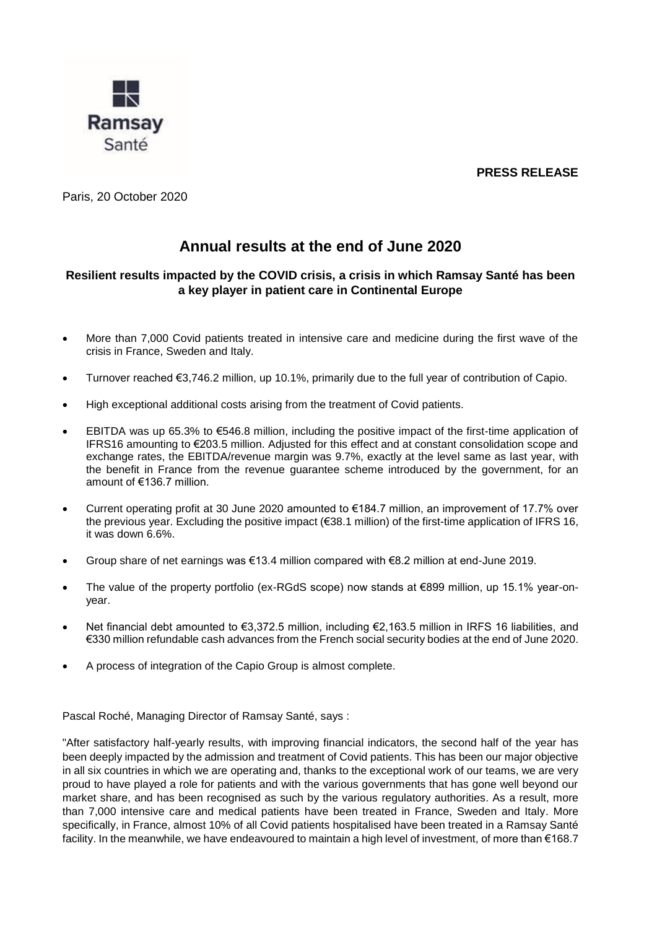**PRESS RELEASE**



Paris, 20 October 2020

## **Annual results at the end of June 2020**

## **Resilient results impacted by the COVID crisis, a crisis in which Ramsay Santé has been a key player in patient care in Continental Europe**

- More than 7,000 Covid patients treated in intensive care and medicine during the first wave of the crisis in France, Sweden and Italy.
- Turnover reached €3,746.2 million, up 10.1%, primarily due to the full year of contribution of Capio.
- High exceptional additional costs arising from the treatment of Covid patients.
- EBITDA was up 65.3% to €546.8 million, including the positive impact of the first-time application of IFRS16 amounting to €203.5 million. Adjusted for this effect and at constant consolidation scope and exchange rates, the EBITDA/revenue margin was 9.7%, exactly at the level same as last year, with the benefit in France from the revenue guarantee scheme introduced by the government, for an amount of €136.7 million.
- Current operating profit at 30 June 2020 amounted to €184.7 million, an improvement of 17.7% over the previous year. Excluding the positive impact (€38.1 million) of the first-time application of IFRS 16, it was down 6.6%.
- Group share of net earnings was €13.4 million compared with €8.2 million at end-June 2019.
- The value of the property portfolio (ex-RGdS scope) now stands at €899 million, up 15.1% year-onyear.
- Net financial debt amounted to €3,372.5 million, including €2,163.5 million in IRFS 16 liabilities, and €330 million refundable cash advances from the French social security bodies at the end of June 2020.
- A process of integration of the Capio Group is almost complete.

Pascal Roché, Managing Director of Ramsay Santé, says :

"After satisfactory half-yearly results, with improving financial indicators, the second half of the year has been deeply impacted by the admission and treatment of Covid patients. This has been our major objective in all six countries in which we are operating and, thanks to the exceptional work of our teams, we are very proud to have played a role for patients and with the various governments that has gone well beyond our market share, and has been recognised as such by the various regulatory authorities. As a result, more than 7,000 intensive care and medical patients have been treated in France, Sweden and Italy. More specifically, in France, almost 10% of all Covid patients hospitalised have been treated in a Ramsay Santé facility. In the meanwhile, we have endeavoured to maintain a high level of investment, of more than €168.7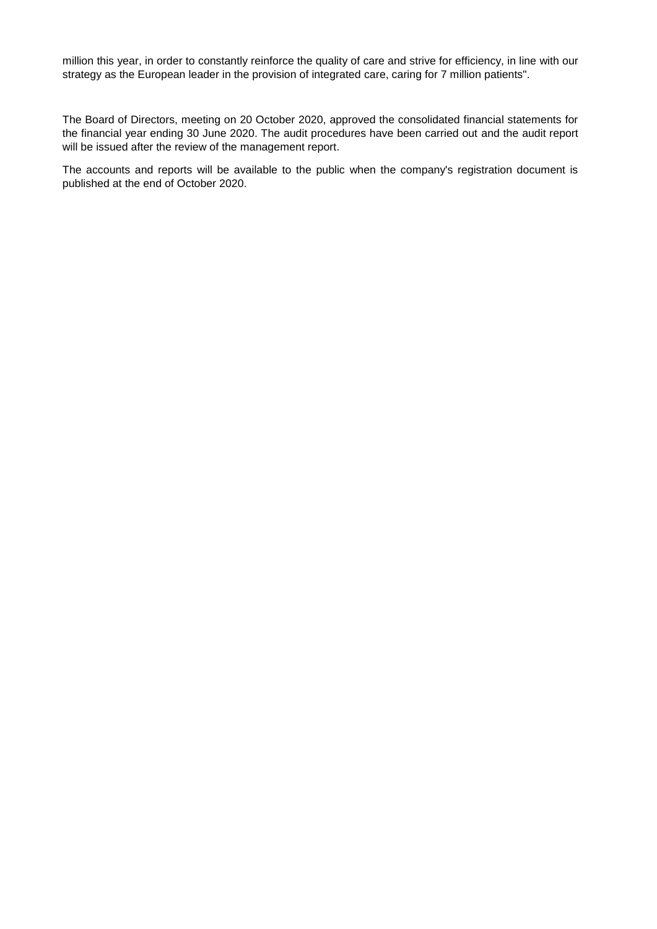million this year, in order to constantly reinforce the quality of care and strive for efficiency, in line with our strategy as the European leader in the provision of integrated care, caring for 7 million patients".

The Board of Directors, meeting on 20 October 2020, approved the consolidated financial statements for the financial year ending 30 June 2020. The audit procedures have been carried out and the audit report will be issued after the review of the management report.

The accounts and reports will be available to the public when the company's registration document is published at the end of October 2020.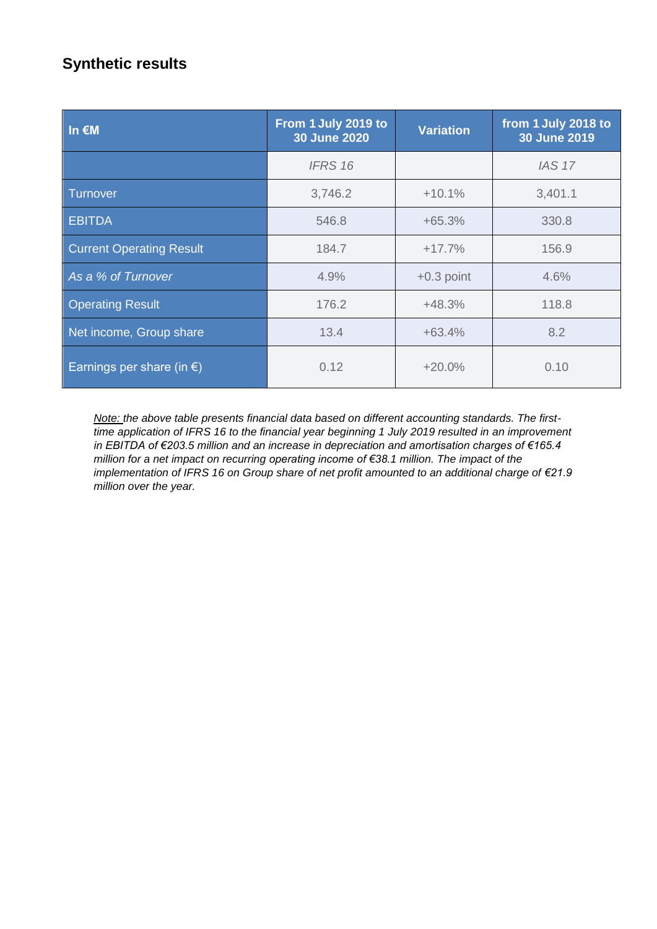# **Synthetic results**

| $\ln \epsilon$ M                    | From 1 July 2019 to<br><b>30 June 2020</b> | <b>Variation</b> | from 1 July 2018 to<br>30 June 2019 |
|-------------------------------------|--------------------------------------------|------------------|-------------------------------------|
|                                     | <b>IFRS 16</b>                             |                  | <b>IAS 17</b>                       |
| Turnover                            | 3,746.2                                    | $+10.1%$         | 3,401.1                             |
| <b>EBITDA</b>                       | 546.8                                      | $+65.3%$         | 330.8                               |
| <b>Current Operating Result</b>     | 184.7                                      | $+17.7%$         | 156.9                               |
| As a % of Turnover                  | 4.9%                                       | $+0.3$ point     | 4.6%                                |
| <b>Operating Result</b>             | 176.2                                      | $+48.3%$         | 118.8                               |
| Net income, Group share             | 13.4                                       | $+63.4%$         | 8.2                                 |
| Earnings per share (in $\epsilon$ ) | 0.12                                       | $+20.0%$         | 0.10                                |

*Note: the above table presents financial data based on different accounting standards. The firsttime application of IFRS 16 to the financial year beginning 1 July 2019 resulted in an improvement in EBITDA of €203.5 million and an increase in depreciation and amortisation charges of €165.4 million for a net impact on recurring operating income of €38.1 million. The impact of the implementation of IFRS 16 on Group share of net profit amounted to an additional charge of €21.9 million over the year.*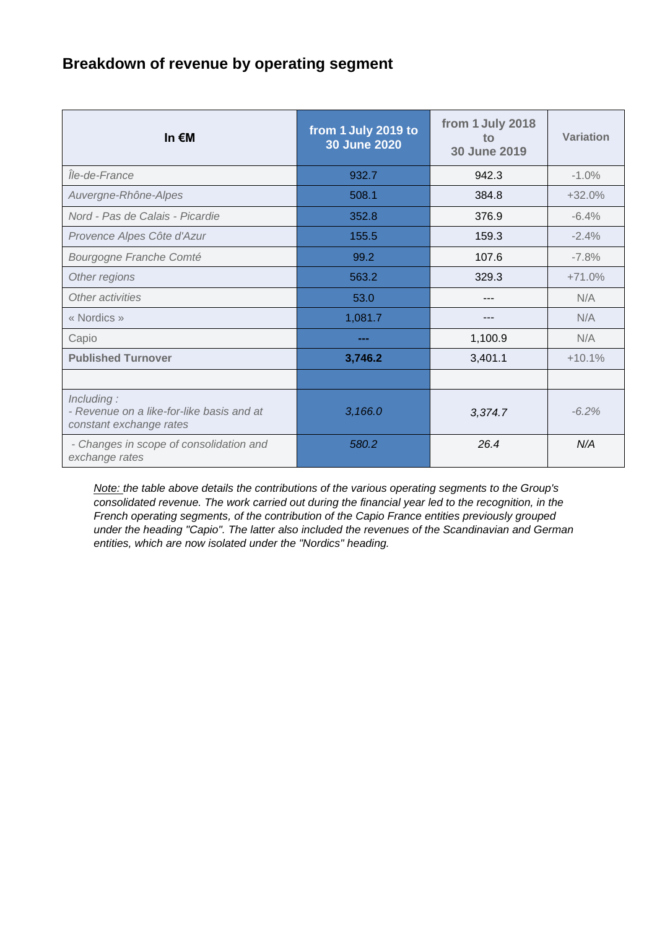# **Breakdown of revenue by operating segment**

| In $\epsilon$ M                                                                    | from 1 July 2019 to<br><b>30 June 2020</b> | from 1 July 2018<br>to<br>30 June 2019 | Variation |
|------------------------------------------------------------------------------------|--------------------------------------------|----------------------------------------|-----------|
| Île-de-France                                                                      | 932.7                                      | 942.3                                  | $-1.0%$   |
| Auvergne-Rhône-Alpes                                                               | 508.1                                      | 384.8                                  | $+32.0%$  |
| Nord - Pas de Calais - Picardie                                                    | 352.8                                      | 376.9                                  | $-6.4%$   |
| Provence Alpes Côte d'Azur                                                         | 155.5                                      | 159.3                                  | $-2.4%$   |
| Bourgogne Franche Comté                                                            | 99.2                                       | 107.6                                  | $-7.8%$   |
| Other regions                                                                      | 563.2                                      | 329.3                                  | $+71.0%$  |
| Other activities                                                                   | 53.0                                       |                                        | N/A       |
| « Nordics »                                                                        | 1,081.7                                    |                                        | N/A       |
| Capio                                                                              |                                            | 1,100.9                                | N/A       |
| <b>Published Turnover</b>                                                          | 3,746.2                                    | 3,401.1                                | $+10.1%$  |
|                                                                                    |                                            |                                        |           |
| Including:<br>- Revenue on a like-for-like basis and at<br>constant exchange rates | 3,166.0                                    | 3,374.7                                | $-6.2%$   |
| - Changes in scope of consolidation and<br>exchange rates                          | 580.2                                      | 26.4                                   | N/A       |

*Note: the table above details the contributions of the various operating segments to the Group's consolidated revenue. The work carried out during the financial year led to the recognition, in the French operating segments, of the contribution of the Capio France entities previously grouped under the heading "Capio". The latter also included the revenues of the Scandinavian and German entities, which are now isolated under the "Nordics" heading.*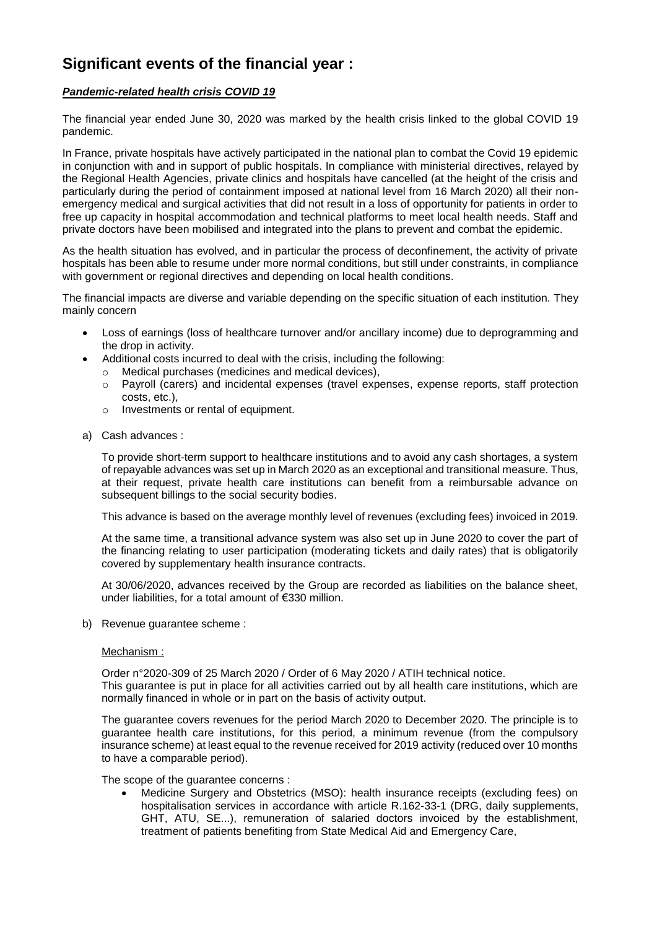## **Significant events of the financial year :**

## *Pandemic-related health crisis COVID 19*

The financial year ended June 30, 2020 was marked by the health crisis linked to the global COVID 19 pandemic.

In France, private hospitals have actively participated in the national plan to combat the Covid 19 epidemic in conjunction with and in support of public hospitals. In compliance with ministerial directives, relayed by the Regional Health Agencies, private clinics and hospitals have cancelled (at the height of the crisis and particularly during the period of containment imposed at national level from 16 March 2020) all their nonemergency medical and surgical activities that did not result in a loss of opportunity for patients in order to free up capacity in hospital accommodation and technical platforms to meet local health needs. Staff and private doctors have been mobilised and integrated into the plans to prevent and combat the epidemic.

As the health situation has evolved, and in particular the process of deconfinement, the activity of private hospitals has been able to resume under more normal conditions, but still under constraints, in compliance with government or regional directives and depending on local health conditions.

The financial impacts are diverse and variable depending on the specific situation of each institution. They mainly concern

- Loss of earnings (loss of healthcare turnover and/or ancillary income) due to deprogramming and the drop in activity.
- Additional costs incurred to deal with the crisis, including the following:
	- o Medical purchases (medicines and medical devices),
	- o Payroll (carers) and incidental expenses (travel expenses, expense reports, staff protection costs, etc.),
	- o Investments or rental of equipment.
- a) Cash advances :

To provide short-term support to healthcare institutions and to avoid any cash shortages, a system of repayable advances was set up in March 2020 as an exceptional and transitional measure. Thus, at their request, private health care institutions can benefit from a reimbursable advance on subsequent billings to the social security bodies.

This advance is based on the average monthly level of revenues (excluding fees) invoiced in 2019.

At the same time, a transitional advance system was also set up in June 2020 to cover the part of the financing relating to user participation (moderating tickets and daily rates) that is obligatorily covered by supplementary health insurance contracts.

At 30/06/2020, advances received by the Group are recorded as liabilities on the balance sheet, under liabilities, for a total amount of €330 million.

b) Revenue guarantee scheme :

#### Mechanism :

Order n°2020-309 of 25 March 2020 / Order of 6 May 2020 / ATIH technical notice. This guarantee is put in place for all activities carried out by all health care institutions, which are normally financed in whole or in part on the basis of activity output.

The guarantee covers revenues for the period March 2020 to December 2020. The principle is to guarantee health care institutions, for this period, a minimum revenue (from the compulsory insurance scheme) at least equal to the revenue received for 2019 activity (reduced over 10 months to have a comparable period).

The scope of the guarantee concerns :

 Medicine Surgery and Obstetrics (MSO): health insurance receipts (excluding fees) on hospitalisation services in accordance with article R.162-33-1 (DRG, daily supplements, GHT, ATU, SE...), remuneration of salaried doctors invoiced by the establishment, treatment of patients benefiting from State Medical Aid and Emergency Care,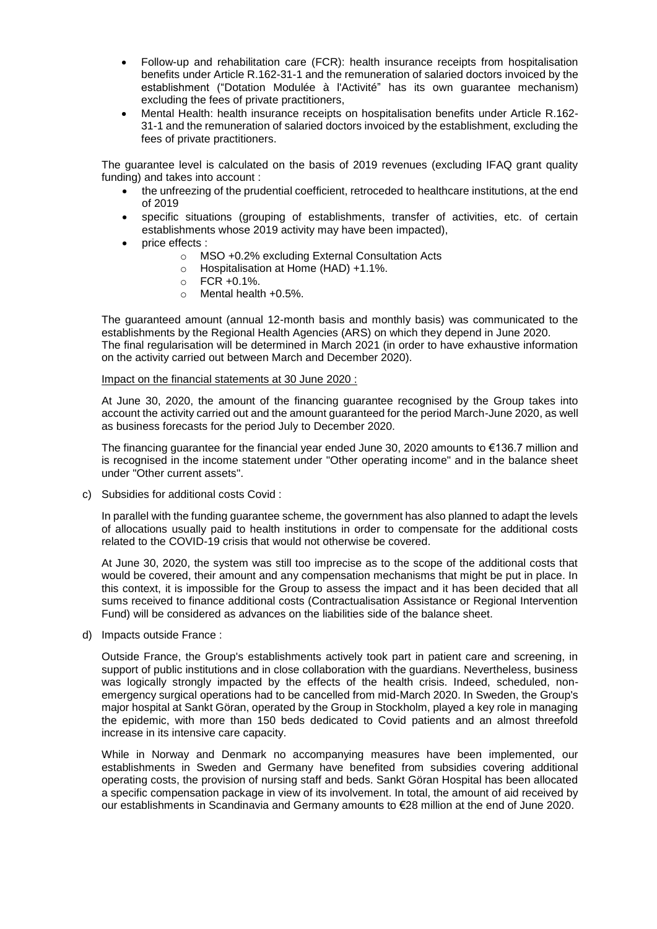- Follow-up and rehabilitation care (FCR): health insurance receipts from hospitalisation benefits under Article R.162-31-1 and the remuneration of salaried doctors invoiced by the establishment ("Dotation Modulée à l'Activité" has its own guarantee mechanism) excluding the fees of private practitioners,
- Mental Health: health insurance receipts on hospitalisation benefits under Article R.162- 31-1 and the remuneration of salaried doctors invoiced by the establishment, excluding the fees of private practitioners.

The guarantee level is calculated on the basis of 2019 revenues (excluding IFAQ grant quality funding) and takes into account :

- the unfreezing of the prudential coefficient, retroceded to healthcare institutions, at the end of 2019
- specific situations (grouping of establishments, transfer of activities, etc. of certain establishments whose 2019 activity may have been impacted),
- price effects :
	- o MSO +0.2% excluding External Consultation Acts
	- o Hospitalisation at Home (HAD) +1.1%.
	- $O$  FCR +0.1%.
	- $\circ$  Mental health +0.5%.

The guaranteed amount (annual 12-month basis and monthly basis) was communicated to the establishments by the Regional Health Agencies (ARS) on which they depend in June 2020. The final regularisation will be determined in March 2021 (in order to have exhaustive information on the activity carried out between March and December 2020).

#### Impact on the financial statements at 30 June 2020 :

At June 30, 2020, the amount of the financing guarantee recognised by the Group takes into account the activity carried out and the amount guaranteed for the period March-June 2020, as well as business forecasts for the period July to December 2020.

The financing guarantee for the financial year ended June 30, 2020 amounts to €136.7 million and is recognised in the income statement under "Other operating income" and in the balance sheet under "Other current assets".

c) Subsidies for additional costs Covid :

In parallel with the funding guarantee scheme, the government has also planned to adapt the levels of allocations usually paid to health institutions in order to compensate for the additional costs related to the COVID-19 crisis that would not otherwise be covered.

At June 30, 2020, the system was still too imprecise as to the scope of the additional costs that would be covered, their amount and any compensation mechanisms that might be put in place. In this context, it is impossible for the Group to assess the impact and it has been decided that all sums received to finance additional costs (Contractualisation Assistance or Regional Intervention Fund) will be considered as advances on the liabilities side of the balance sheet.

d) Impacts outside France :

Outside France, the Group's establishments actively took part in patient care and screening, in support of public institutions and in close collaboration with the guardians. Nevertheless, business was logically strongly impacted by the effects of the health crisis. Indeed, scheduled, nonemergency surgical operations had to be cancelled from mid-March 2020. In Sweden, the Group's major hospital at Sankt Göran, operated by the Group in Stockholm, played a key role in managing the epidemic, with more than 150 beds dedicated to Covid patients and an almost threefold increase in its intensive care capacity.

While in Norway and Denmark no accompanying measures have been implemented, our establishments in Sweden and Germany have benefited from subsidies covering additional operating costs, the provision of nursing staff and beds. Sankt Göran Hospital has been allocated a specific compensation package in view of its involvement. In total, the amount of aid received by our establishments in Scandinavia and Germany amounts to €28 million at the end of June 2020.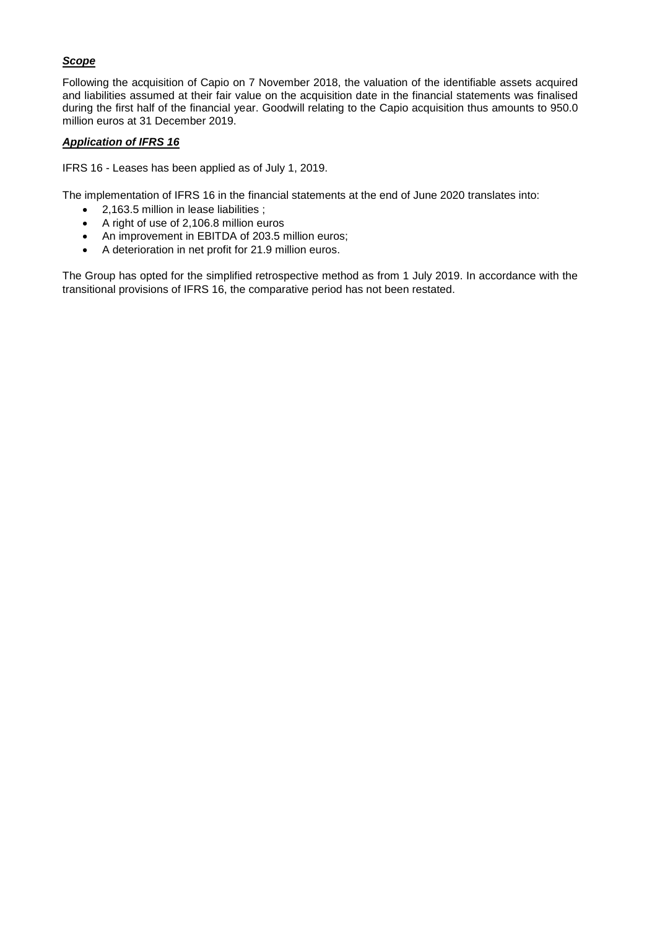## *Scope*

Following the acquisition of Capio on 7 November 2018, the valuation of the identifiable assets acquired and liabilities assumed at their fair value on the acquisition date in the financial statements was finalised during the first half of the financial year. Goodwill relating to the Capio acquisition thus amounts to 950.0 million euros at 31 December 2019.

### *Application of IFRS 16*

IFRS 16 - Leases has been applied as of July 1, 2019.

The implementation of IFRS 16 in the financial statements at the end of June 2020 translates into:

- 2,163.5 million in lease liabilities ;
- A right of use of 2,106.8 million euros
- An improvement in EBITDA of 203.5 million euros;
- A deterioration in net profit for 21.9 million euros.

The Group has opted for the simplified retrospective method as from 1 July 2019. In accordance with the transitional provisions of IFRS 16, the comparative period has not been restated.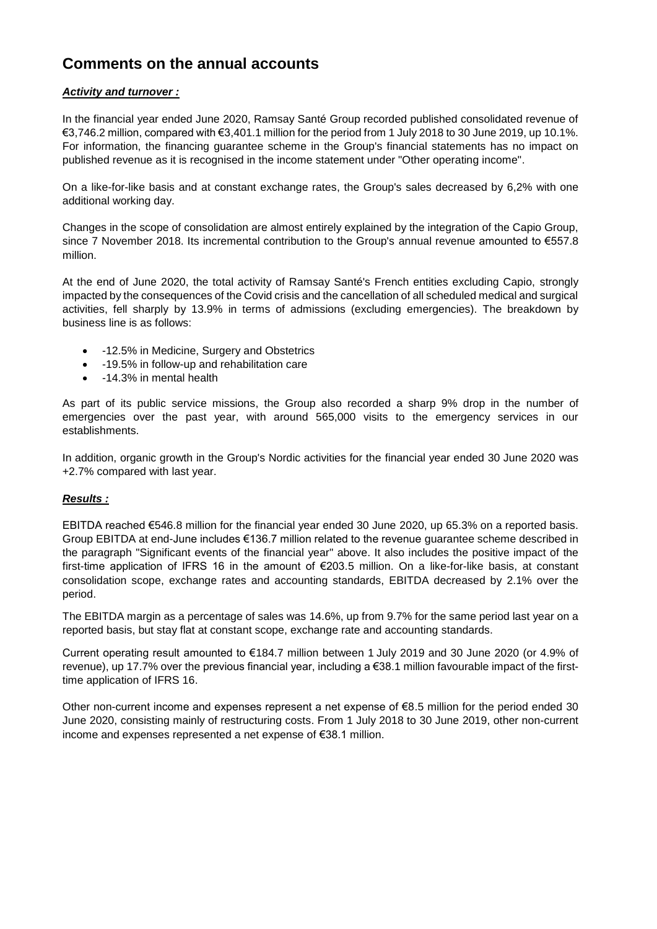## **Comments on the annual accounts**

### *Activity and turnover :*

In the financial year ended June 2020, Ramsay Santé Group recorded published consolidated revenue of €3,746.2 million, compared with €3,401.1 million for the period from 1 July 2018 to 30 June 2019, up 10.1%. For information, the financing guarantee scheme in the Group's financial statements has no impact on published revenue as it is recognised in the income statement under "Other operating income".

On a like-for-like basis and at constant exchange rates, the Group's sales decreased by 6,2% with one additional working day.

Changes in the scope of consolidation are almost entirely explained by the integration of the Capio Group, since 7 November 2018. Its incremental contribution to the Group's annual revenue amounted to €557.8 million.

At the end of June 2020, the total activity of Ramsay Santé's French entities excluding Capio, strongly impacted by the consequences of the Covid crisis and the cancellation of all scheduled medical and surgical activities, fell sharply by 13.9% in terms of admissions (excluding emergencies). The breakdown by business line is as follows:

- -12.5% in Medicine, Surgery and Obstetrics
- -19.5% in follow-up and rehabilitation care
- -14.3% in mental health

As part of its public service missions, the Group also recorded a sharp 9% drop in the number of emergencies over the past year, with around 565,000 visits to the emergency services in our establishments.

In addition, organic growth in the Group's Nordic activities for the financial year ended 30 June 2020 was +2.7% compared with last year.

#### *Results :*

EBITDA reached €546.8 million for the financial year ended 30 June 2020, up 65.3% on a reported basis. Group EBITDA at end-June includes €136.7 million related to the revenue guarantee scheme described in the paragraph "Significant events of the financial year" above. It also includes the positive impact of the first-time application of IFRS 16 in the amount of €203.5 million. On a like-for-like basis, at constant consolidation scope, exchange rates and accounting standards, EBITDA decreased by 2.1% over the period.

The EBITDA margin as a percentage of sales was 14.6%, up from 9.7% for the same period last year on a reported basis, but stay flat at constant scope, exchange rate and accounting standards.

Current operating result amounted to €184.7 million between 1 July 2019 and 30 June 2020 (or 4.9% of revenue), up 17.7% over the previous financial year, including a €38.1 million favourable impact of the firsttime application of IFRS 16.

Other non-current income and expenses represent a net expense of €8.5 million for the period ended 30 June 2020, consisting mainly of restructuring costs. From 1 July 2018 to 30 June 2019, other non-current income and expenses represented a net expense of €38.1 million.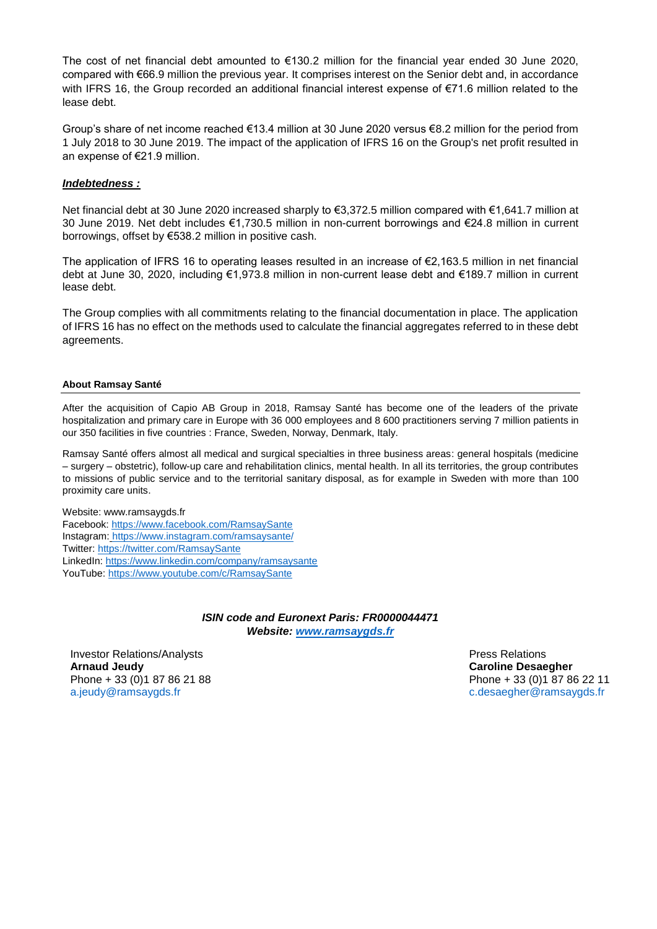The cost of net financial debt amounted to  $€130.2$  million for the financial year ended 30 June 2020, compared with €66.9 million the previous year. It comprises interest on the Senior debt and, in accordance with IFRS 16, the Group recorded an additional financial interest expense of €71.6 million related to the lease debt.

Group's share of net income reached €13.4 million at 30 June 2020 versus €8.2 million for the period from 1 July 2018 to 30 June 2019. The impact of the application of IFRS 16 on the Group's net profit resulted in an expense of €21.9 million.

#### *Indebtedness :*

Net financial debt at 30 June 2020 increased sharply to €3,372.5 million compared with €1,641.7 million at 30 June 2019. Net debt includes €1,730.5 million in non-current borrowings and €24.8 million in current borrowings, offset by €538.2 million in positive cash.

The application of IFRS 16 to operating leases resulted in an increase of €2,163.5 million in net financial debt at June 30, 2020, including €1,973.8 million in non-current lease debt and €189.7 million in current lease debt.

The Group complies with all commitments relating to the financial documentation in place. The application of IFRS 16 has no effect on the methods used to calculate the financial aggregates referred to in these debt agreements.

#### **About Ramsay Santé**

After the acquisition of Capio AB Group in 2018, Ramsay Santé has become one of the leaders of the private hospitalization and primary care in Europe with 36 000 employees and 8 600 practitioners serving 7 million patients in our 350 facilities in five countries : France, Sweden, Norway, Denmark, Italy.

Ramsay Santé offers almost all medical and surgical specialties in three business areas: general hospitals (medicine – surgery – obstetric), follow-up care and rehabilitation clinics, mental health. In all its territories, the group contributes to missions of public service and to the territorial sanitary disposal, as for example in Sweden with more than 100 proximity care units.

#### Website: www.ramsaygds.fr

Facebook:<https://www.facebook.com/RamsaySante> Instagram: https://www.instagram.com/ramsaysante/ Twitter[: https://twitter.com/RamsaySante](https://twitter.com/RamsaySante) LinkedIn[: https://www.linkedin.com/company/ramsaysante](https://www.linkedin.com/company/ramsaysante) YouTube:<https://www.youtube.com/c/RamsaySante>

> *ISIN code and Euronext Paris: FR0000044471 Website: [www.ramsaygds.fr](http://www.ramsaygds.fr/)*

**Investor Relations/Analysts Analysts Press Relations Press Relations Arnaud Jeudy Caroline Desaegher** Phone + 33 (0)1 87 86 21 88 Phone + 33 (0)1 87 86 22 11 [a.jeudy@ramsaygds.fr](mailto:a.jeudy@ramsaygds.fr) [c.desaegher@ramsaygds.fr](mailto:c.desaegher@ramsaygds.fr)